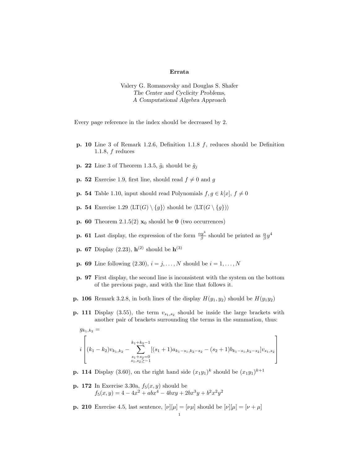## Errata

Valery G. Romanovsky and Douglas S. Shafer The Center and Cyclicity Problems, A Computational Algebra Approach

Every page reference in the index should be decreased by 2.

- **p. 10** Line 3 of Remark 1.2.6, Definition 1.1.8  $f$ , reduces should be Definition 1.1.8,  $f$  reduces
- **p. 22** Line 3 of Theorem 1.3.5,  $\tilde{g}_i$  should be  $\tilde{g}_j$
- **p. 52** Exercise 1.9, first line, should read  $f \neq 0$  and g
- **p. 54** Table 1.10, input should read Polynomials  $f, g \in k[x], f \neq 0$
- **p. 54** Exercise 1.29  $\langle LT(G) \setminus \{g\}\rangle$  should be  $\langle LT(G \setminus \{g\})\rangle$
- **p. 60** Theorem 2.1.5(2)  $\mathbf{x}_0$  should be **0** (two occurrences)
- **p. 61** Last display, the expression of the form  $\frac{\alpha y^4}{\beta}$  should be printed as  $\frac{\alpha}{\beta}y^4$
- **p. 67** Display (2.23),  $h^{(2)}$  should be  $h^{(3)}$
- **p. 69** Line following  $(2.30), i = j, ..., N$  should be  $i = 1, ..., N$
- p. 97 First display, the second line is inconsistent with the system on the bottom of the previous page, and with the line that follows it.
- **p. 106** Remark 3.2.8, in both lines of the display  $H(y_1, y_2)$  should be  $H(y_1y_2)$
- **p. 111** Display (3.55), the term  $v_{s_1,s_2}$  should be inside the large brackets with another pair of brackets surrounding the terms in the summation, thus:

$$
g_{k_1,k_2} = \left\{ \left[ (k_1 - k_2)v_{k_1,k_2} - \sum_{\substack{s_1+s_2=0 \ s_1,s_2 \ge 0}}^{k_1+k_2-1} [(s_1+1)a_{k_1-s_1,k_2-s_2} - (s_2+1)b_{k_1-s_1,k_2-s_2}]v_{s_1,s_2} \right] \right\}
$$

- **p. 114** Display (3.60), on the right hand side  $(x_1y_1)^k$  should be  $(x_1y_1)^{k+1}$
- **p. 172** In Exercise 3.30a,  $f_5(x, y)$  should be  $f_5(x, y) = 4 - 4x^2 + abx^4 - 4bxy + 2bx^3y + b^2x^2y^2$
- **p. 210** Exercise 4.5, last sentence,  $[\nu][\mu] = [\nu \mu]$  should be  $[\nu][\mu] = [\nu + \mu]$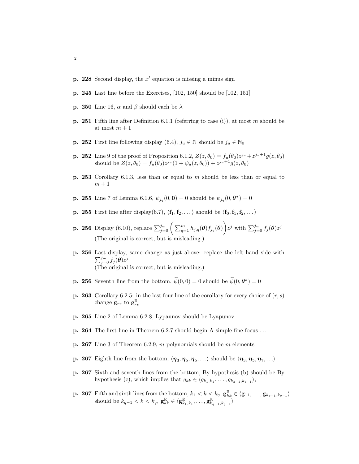- **p. 228** Second display, the  $\dot{x}'$  equation is missing a minus sign
- p. 245 Last line before the Exercises, [102, 150] should be [102, 151]
- **p. 250** Line 16,  $\alpha$  and  $\beta$  should each be  $\lambda$
- **p. 251** Fifth line after Definition 6.1.1 (referring to case (i)), at most m should be at most  $m + 1$
- **p. 252** First line following display (6.4),  $j_u \in \mathbb{N}$  should be  $j_u \in \mathbb{N}_0$
- **p. 252** Line 9 of the proof of Proposition 6.1.2,  $Z(z, \theta_0) = f_u(\theta_0)z^{j_u} + z^{j_u+1}g(z, \theta_0)$ should be  $Z(z, \theta_0) = f_u(\theta_0) z^{j_u} (1 + \psi_u(z, \theta_0)) + z^{j_u+1} g(z, \theta_0)$
- p. 253 Corollary 6.1.3, less than or equal to  $m$  should be less than or equal to  $m+1$
- **p. 255** Line 7 of Lemma 6.1.6,  $\psi_{j_q}(0, 0) = 0$  should be  $\psi_{j_q}(0, 0^*) = 0$
- **p. 255** First line after display(6.7),  $\langle \mathbf{f}_1, \mathbf{f}_2, \dots \rangle$  should be  $\langle \mathbf{f}_0, \mathbf{f}_1, \mathbf{f}_2, \dots \rangle$
- **p. 256** Display (6.10), replace  $\sum_{j=0}^{j_m} \left( \sum_{q=1}^m h_{j,q}(\boldsymbol{\theta}) f_{j_q}(\boldsymbol{\theta}) \right) z^j$  with  $\sum_{j=0}^{j_m} f_j(\boldsymbol{\theta}) z^j$ (The original is correct, but is misleading.)
- p. 256 Last display, same change as just above: replace the left hand side with  $\sum_{j=0}^{j_m} f_j(\boldsymbol{\theta}) z^j$ (The original is correct, but is misleading.)
- **p. 256** Seventh line from the bottom,  $\tilde{\psi}(0,0) = 0$  should be  $\tilde{\psi}(0,\theta^*) = 0$
- **p. 263** Corollary 6.2.5: in the last four line of the corollary for every choice of  $(r, s)$ change  $\mathbf{g}_{rs}$  to  $\mathbf{g}_{rs}^{\mathbb{R}}$
- p. 265 Line 2 of Lemma 6.2.8, Lypaunov should be Lyapunov
- p. 264 The first line in Theorem 6.2.7 should begin A simple fine focus . . .
- p. 267 Line 3 of Theorem 6.2.9, m polynomials should be m elements
- **p. 267** Eighth line from the bottom,  $\langle \eta_3, \eta_5, \eta_5, \ldots \rangle$  should be  $\langle \eta_3, \eta_5, \eta_7, \ldots \rangle$
- p. 267 Sixth and seventh lines from the bottom, By hypothesis (b) should be By hypothesis (c), which implies that  $g_{kk} \in \langle g_{k_1,k_1}, \ldots, g_{k_{q-1},k_{q-1}} \rangle$ ,
- **p.** 267 Fifth and sixth lines from the bottom,  $k_1 < k < k_q$ ,  $\mathbf{g}_{kk}^{\mathbb{R}} \in \langle \mathbf{g}_{11}, \ldots, \mathbf{g}_{k_{q-1},k_{q-1}} \rangle$ should be  $k_{q-1} < k < k_q$ ,  $\mathbf{g}_{kk}^{\mathbb{R}} \in \langle \mathbf{g}_{k_1,k_1}^{\mathbb{R}}, \dots, \mathbf{g}_{k_{q-1},k_{q-1}}^{\mathbb{R}} \rangle$